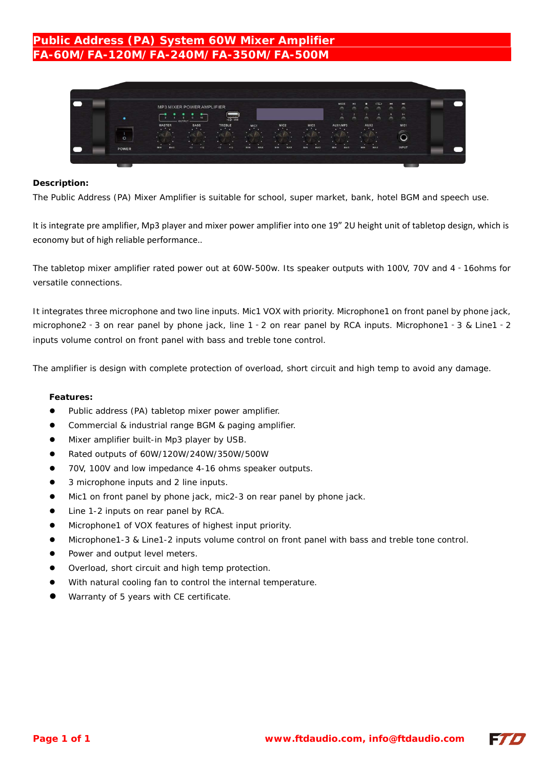# **Public Address (PA) System 60W Mixer Amplifier FA-60M/FA-120M/FA-240M/FA-350M/FA-500M**



### **Description:**

The Public Address (PA) Mixer Amplifier is suitable for school, super market, bank, hotel BGM and speech use.

It is integrate pre amplifier, Mp3 player and mixer power amplifier into one 19" 2U height unit of tabletop design, which is economy but of high reliable performance..

The tabletop mixer amplifier rated power out at 60W-500w. Its speaker outputs with 100V, 70V and 4‐16ohms for versatile connections.

It integrates three microphone and two line inputs. Mic1 VOX with priority. Microphone1 on front panel by phone jack, microphone2‐3 on rear panel by phone jack, line 1‐2 on rear panel by RCA inputs. Microphone1‐3 & Line1‐2 inputs volume control on front panel with bass and treble tone control.

The amplifier is design with complete protection of overload, short circuit and high temp to avoid any damage.

#### **Features:**

- Public address (PA) tabletop mixer power amplifier.
- Commercial & industrial range BGM & paging amplifier.
- $\bullet$  Mixer amplifier built-in Mp3 player by USB.
- Rated outputs of 60W/120W/240W/350W/500W
- 70V, 100V and low impedance 4-16 ohms speaker outputs.
- 3 microphone inputs and 2 line inputs.
- Mic1 on front panel by phone jack, mic2-3 on rear panel by phone jack.
- Line 1-2 inputs on rear panel by RCA.
- Microphone1 of VOX features of highest input priority.
- Microphone1-3 & Line1-2 inputs volume control on front panel with bass and treble tone control.
- Power and output level meters.
- Overload, short circuit and high temp protection.
- With natural cooling fan to control the internal temperature.
- Warranty of 5 years with CE certificate.